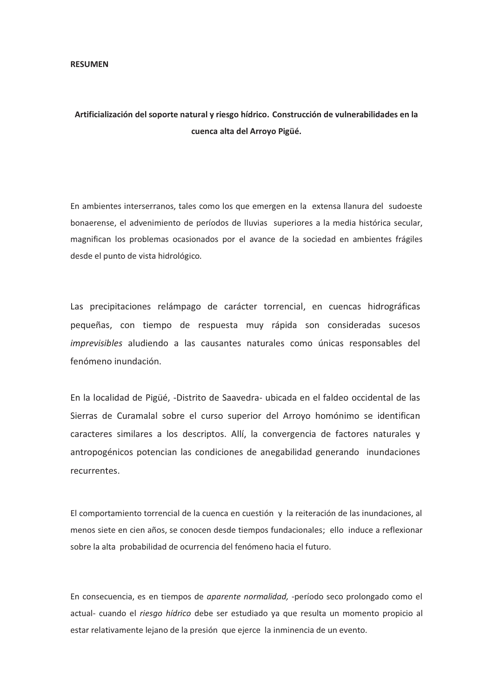## **RESUMEN**

## **Artificialización del soporte natural y riesgo hídrico. Construcción de vulnerabilidades en la cuenca alta del Arroyo Pigüé.**

En ambientes interserranos, tales como los que emergen en la extensa llanura del sudoeste bonaerense, el advenimiento de períodos de lluvias superiores a la media histórica secular, magnifican los problemas ocasionados por el avance de la sociedad en ambientes frágiles desde el punto de vista hidrológico*.* 

Las precipitaciones relámpago de carácter torrencial, en cuencas hidrográficas pequeñas, con tiempo de respuesta muy rápida son consideradas sucesos *imprevisibles* aludiendo a las causantes naturales como únicas responsables del fenómeno inundación.

En la localidad de Pigüé, -Distrito de Saavedra- ubicada en el faldeo occidental de las Sierras de Curamalal sobre el curso superior del Arroyo homónimo se identifican caracteres similares a los descriptos. Allí, la convergencia de factores naturales y antropogénicos potencian las condiciones de anegabilidad generando inundaciones recurrentes.

El comportamiento torrencial de la cuenca en cuestión y la reiteración de las inundaciones, al menos siete en cien años, se conocen desde tiempos fundacionales; ello induce a reflexionar sobre la alta probabilidad de ocurrencia del fenómeno hacia el futuro.

En consecuencia, es en tiempos de *aparente normalidad,* -período seco prolongado como el actual- cuando el *riesgo hídrico* debe ser estudiado ya que resulta un momento propicio al estar relativamente lejano de la presión que ejerce la inminencia de un evento.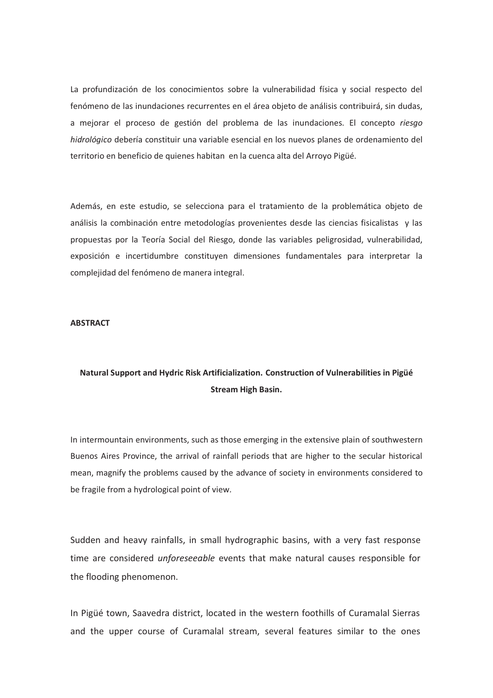La profundización de los conocimientos sobre la vulnerabilidad física y social respecto del fenómeno de las inundaciones recurrentes en el área objeto de análisis contribuirá, sin dudas, a mejorar el proceso de gestión del problema de las inundaciones. El concepto *riesgo hidrológico* debería constituir una variable esencial en los nuevos planes de ordenamiento del territorio en beneficio de quienes habitan en la cuenca alta del Arroyo Pigüé.

Además, en este estudio, se selecciona para el tratamiento de la problemática objeto de análisis la combinación entre metodologías provenientes desde las ciencias fisicalistas y las propuestas por la Teoría Social del Riesgo, donde las variables peligrosidad, vulnerabilidad, exposición e incertidumbre constituyen dimensiones fundamentales para interpretar la complejidad del fenómeno de manera integral.

## **ABSTRACT**

## **Natural Support and Hydric Risk Artificialization. Construction of Vulnerabilities in Pigüé Stream High Basin.**

In intermountain environments, such as those emerging in the extensive plain of southwestern Buenos Aires Province, the arrival of rainfall periods that are higher to the secular historical mean, magnify the problems caused by the advance of society in environments considered to be fragile from a hydrological point of view*.* 

Sudden and heavy rainfalls, in small hydrographic basins, with a very fast response time are considered *unforeseeable* events that make natural causes responsible for the flooding phenomenon.

In Pigüé town, Saavedra district, located in the western foothills of Curamalal Sierras and the upper course of Curamalal stream, several features similar to the ones